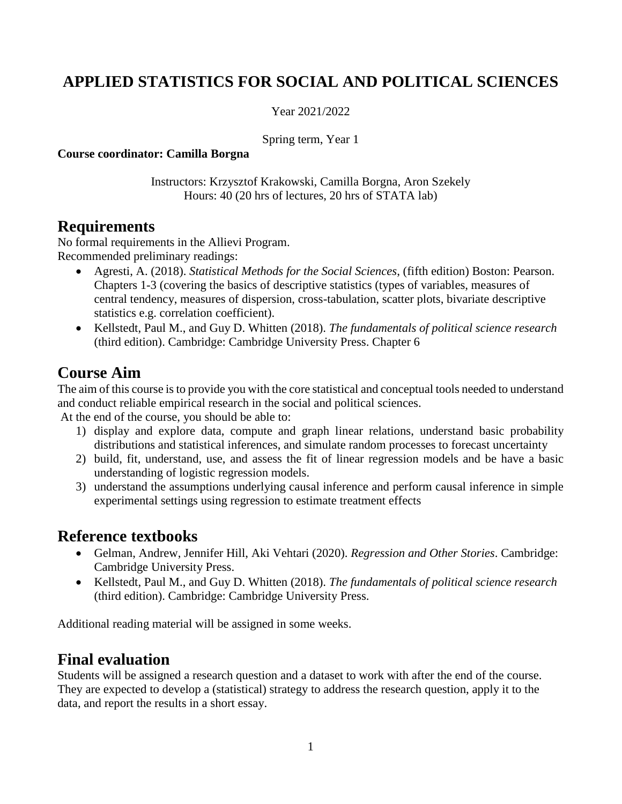# **APPLIED STATISTICS FOR SOCIAL AND POLITICAL SCIENCES**

Year 2021/2022

Spring term, Year 1

**Course coordinator: Camilla Borgna**

Instructors: Krzysztof Krakowski, Camilla Borgna, Aron Szekely Hours: 40 (20 hrs of lectures, 20 hrs of STATA lab)

#### **Requirements**

No formal requirements in the Allievi Program. Recommended preliminary readings:

- Agresti, A. (2018). *Statistical Methods for the Social Sciences*, (fifth edition) Boston: Pearson. Chapters 1-3 (covering the basics of descriptive statistics (types of variables, measures of central tendency, measures of dispersion, cross-tabulation, scatter plots, bivariate descriptive statistics e.g. correlation coefficient).
- Kellstedt, Paul M., and Guy D. Whitten (2018). *The fundamentals of political science research* (third edition). Cambridge: Cambridge University Press. Chapter 6

## **Course Aim**

The aim of this course is to provide you with the core statistical and conceptual tools needed to understand and conduct reliable empirical research in the social and political sciences.

At the end of the course, you should be able to:

- 1) display and explore data, compute and graph linear relations, understand basic probability distributions and statistical inferences, and simulate random processes to forecast uncertainty
- 2) build, fit, understand, use, and assess the fit of linear regression models and be have a basic understanding of logistic regression models.
- 3) understand the assumptions underlying causal inference and perform causal inference in simple experimental settings using regression to estimate treatment effects

#### **Reference textbooks**

- Gelman, Andrew, Jennifer Hill, Aki Vehtari (2020). *Regression and Other Stories*. Cambridge: Cambridge University Press.
- Kellstedt, Paul M., and Guy D. Whitten (2018). *The fundamentals of political science research* (third edition). Cambridge: Cambridge University Press.

Additional reading material will be assigned in some weeks.

### **Final evaluation**

Students will be assigned a research question and a dataset to work with after the end of the course. They are expected to develop a (statistical) strategy to address the research question, apply it to the data, and report the results in a short essay.